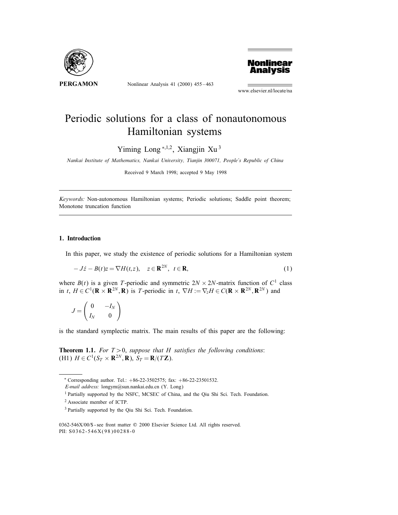

Nonlinear Analysis 41 (2000) 455 – 463



www.elsevier.nl/locate/na

## Periodic solutions for a class of nonautonomous Hamiltonian systems

Yiming Long  $*$ , 1,2, Xiangjin Xu<sup>3</sup>

Nankai Institute of Mathematics, Nankai University, Tianjin 300071, People's Republic of China

Received 9 March 1998; accepted 9 May 1998

Keywords: Non-autonomous Hamiltonian systems; Periodic solutions; Saddle point theorem; Monotone truncation function

## 1. Introduction

In this paper, we study the existence of periodic solutions for a Hamiltonian system

$$
-J\dot{z} - B(t)z = \nabla H(t, z), \quad z \in \mathbf{R}^{2N}, \ t \in \mathbf{R},
$$
 (1)

where  $B(t)$  is a given T-periodic and symmetric  $2N \times 2N$ -matrix function of  $C^1$  class in t,  $H \in C^1(\mathbf{R} \times \mathbf{R}^{2N}, \mathbf{R})$  is T-periodic in t,  $\nabla H := \nabla_z H \in C(\mathbf{R} \times \mathbf{R}^{2N}, \mathbf{R}^{2N})$  and

$$
J = \begin{pmatrix} 0 & -I_N \\ I_N & 0 \end{pmatrix}
$$

is the standard symplectic matrix. The main results of this paper are the following:

**Theorem 1.1.** For  $T > 0$ , suppose that H satisfies the following conditions: (H1)  $H \in C^1(S_T \times \mathbf{R}^{2N}, \mathbf{R}), S_T = \mathbf{R}/(T\mathbf{Z}).$ 

<sup>∗</sup> Corresponding author. Tel.: +86-22-3502575; fax: +86-22-23501532.

E-mail address: longym@sun.nankai.edu.cn (Y. Long)

<sup>&</sup>lt;sup>1</sup> Partially supported by the NSFC, MCSEC of China, and the Qiu Shi Sci. Tech. Foundation.

<sup>2</sup> Associate member of ICTP.

<sup>&</sup>lt;sup>3</sup> Partially supported by the Qiu Shi Sci. Tech. Foundation.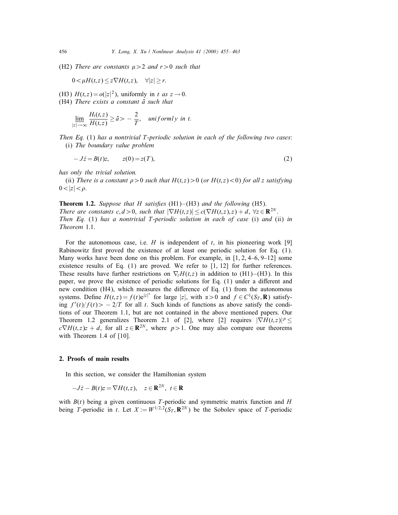(H2) There are constants  $\mu > 2$  and  $r > 0$  such that

$$
0 < \mu H(t, z) \leq z \nabla H(t, z), \quad \forall |z| \geq r.
$$

(H3)  $H(t, z) = o(|z|^2)$ , uniformly in t as  $z \to 0$ .  $(H4)$  There exists a constant  $\bar{a}$  such that

$$
\lim_{|z|\to\infty}\frac{H_t(t,z)}{H(t,z)}\geq \bar{a} > -\frac{2}{T}, \quad \text{uniformly in } t.
$$

Then Eq.  $(1)$  has a nontrivial T-periodic solution in each of the following two cases: (i) The boundary value problem

 $-J\dot{z} = B(t)z, \qquad z(0) = z(T),$  (2)

has only the trivial solution.

(ii) There is a constant  $\rho > 0$  such that  $H(t, z) > 0$  (or  $H(t, z) < 0$ ) for all z satisfying  $0<|z|<\rho$ .

**Theorem 1.2.** Suppose that H satisfies  $(H1)$ – $(H3)$  and the following  $(H5)$ . There are constants c,  $d > 0$ , such that  $|\nabla H(t,z)| \leq c(\nabla H(t,z), z) + d$ ,  $\forall z \in \mathbb{R}^{2N}$ . Then Eq.  $(1)$  has a nontrivial T-periodic solution in each of case  $(i)$  and  $(ii)$  in Theorem 1.1.

For the autonomous case, i.e.  $H$  is independent of  $t$ , in his pioneering work [9] Rabinowitz first proved the existence of at least one periodic solution for Eq.  $(1)$ . Many works have been done on this problem. For example, in  $[1, 2, 4-6, 9-12]$  some existence results of Eq.  $(1)$  are proved. We refer to  $[1, 12]$  for further references. These results have further restrictions on  $\nabla_z H(t,z)$  in addition to (H1)–(H3). In this paper, we prove the existence of periodic solutions for Eq.  $(1)$  under a different and new condition (H4), which measures the difference of Eq.  $(1)$  from the autonomous systems. Define  $H(t, z) = f(t)e^{|z|^{\alpha}}$  for large |z|, with  $\alpha > 0$  and  $f \in C^1(S_T, \mathbf{R})$  satisfying  $f'(t)/f(t) > -2/T$  for all t. Such kinds of functions as above satisfy the conditions of our Theorem 1.1, but are not contained in the above mentioned papers. Our Theorem 1.2 generalizes Theorem 2.1 of [2], where [2] requires  $|\nabla H(t, z)|^p \le$  $c\nabla H(t, z)z + d$ , for all  $z \in \mathbb{R}^{2N}$ , where  $p > 1$ . One may also compare our theorems with Theorem 1.4 of [10].

## 2. Proofs of main results

In this section, we consider the Hamiltonian system

$$
-J\dot{z} - B(t)z = \nabla H(t, z), \quad z \in \mathbf{R}^{2N}, \ t \in \mathbf{R}
$$

with  $B(t)$  being a given continuous T-periodic and symmetric matrix function and H being T-periodic in t. Let  $X := W^{1/2,2}(S_T, \mathbf{R}^{2N})$  be the Sobolev space of T-periodic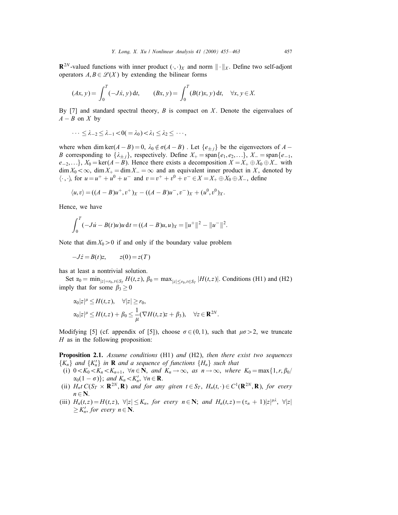$\mathbb{R}^{2N}$ -valued functions with inner product  $(\cdot, \cdot)_X$  and norm  $\|\cdot\|_X$ . Define two self-adjont operators  $A, B \in \mathcal{L}(X)$  by extending the bilinear forms

$$
(Ax, y) = \int_0^T (-J\dot{x}, y) dt, \qquad (Bx, y) = \int_0^T (B(t)x, y) dt, \quad \forall x, y \in X.
$$

By [7] and standard spectral theory,  $B$  is compact on  $X$ . Denote the eigenvalues of  $A - B$  on X by

$$
\cdots \leq \lambda_{-2} \leq \lambda_{-1} < 0 (= \lambda_0) < \lambda_1 \leq \lambda_2 \leq \cdots,
$$

where when dim ker( $A - B$ ) = 0,  $\lambda_0 \notin \sigma(A - B)$ . Let  $\{e_{\pm i}\}\$ be the eigenvectors of  $A -$ B corresponding to  $\{\lambda_{\pm j}\}$ , respectively. Define  $X_+ = \text{span}\{e_1, e_2, ...\}$ ,  $X_- = \text{span}\{e_{-1}, e_{-2}, ...\}$  $e_{-2},\ldots$ ,  $X_0 = \ker(A - B)$ . Hence there exists a decomposition  $X = X_+ \oplus X_0 \oplus X_-$  with  $\dim X_0 < \infty$ ,  $\dim X_+ = \dim X_- = \infty$  and an equivalent inner product in X, denoted by  $\langle \cdot, \cdot \rangle$  for  $u = u^+ + u^0 + u^-$  and  $v = v^+ + v^0 + v^- \in X = X_+ \oplus X_0 \oplus X_-$ , define

$$
\langle u, v \rangle = ((A - B)u^+, v^+)_X - ((A - B)u^-, v^-)_X + (u^0, v^0)_X.
$$

Hence, we have

$$
\int_0^T (-Ju - B(t)u)u dt = ((A - B)u, u)_X = ||u^+||^2 - ||u^-||^2.
$$

Note that  $\dim X_0 > 0$  if and only if the boundary value problem

 $-J\dot{z} = B(t)z$ ,  $z(0) = z(T)$ 

has at least a nontrivial solution.

Set  $\alpha_0 = \min_{|z|=r_0, t \in S_T} H(t, z)$ ,  $\beta_0 = \max_{|z| \le r_0, t \in S_T} |H(t, z)|$ . Conditions (H1) and (H2) imply that for some  $\beta_3 \geq 0$ 

$$
\alpha_0|z|^{\mu} \le H(t,z), \quad \forall |z| \ge r_0,
$$
  
\n
$$
\alpha_0|z|^{\mu} \le H(t,z) + \beta_0 \le \frac{1}{\mu}(\nabla H(t,z)z + \beta_3), \quad \forall z \in \mathbf{R}^{2N}.
$$

Modifying [5] (cf. appendix of [5]), choose  $\sigma \in (0, 1)$ , such that  $\mu \sigma > 2$ , we truncate  $H$  as in the following proposition:

**Proposition 2.1.** Assume conditions (H1) and (H2), then there exist two sequences  $\{K_n\}$  and  $\{K'_n\}$  in **R** and a sequence of functions  $\{H_n\}$  such that

- (i)  $0 < K_0 < K_n < K_{n+1}$ ,  $\forall n \in \mathbb{N}$ , and  $K_n \to \infty$ , as  $n \to \infty$ , where  $K_0 = \max\{1, r, \beta_0/$  $\alpha_0(1-\sigma)$ ; and  $K_n < K'_n$ ,  $\forall n \in \mathbf{R}$ .
- (ii)  $H_nt C(S_T \times \mathbf{R}^{2N}, \mathbf{R})$  and for any given  $t \in S_T$ ,  $H_n(t, \cdot) \in C^1(\mathbf{R}^{2N}, \mathbf{R})$ , for every  $n \in \mathbb{N}$ .
- (iii)  $H_n(t,z) = H(t,z)$ ,  $\forall |z| \leq K_n$ , for every  $n \in \mathbb{N}$ ; and  $H_n(t,z) = (\tau_n + 1)|z|^{\mu \lambda}$ ,  $\forall |z|$  $\geq K'_n$ , for every  $n \in \mathbb{N}$ .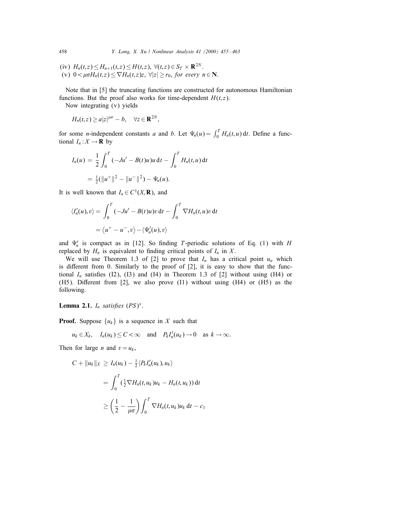(iv)  $H_n(t, z) \le H_{n+1}(t, z) \le H(t, z), \ \forall (t, z) \in S_T \times \mathbb{R}^{2N}$ . (v)  $0 < \mu \sigma H_n(t, z) \leq \nabla H_n(t, z)z$ ,  $\forall |z| \geq r_0$ , for every  $n \in \mathbb{N}$ .

Note that in [5] the truncating functions are constructed for autonomous Hamiltonian functions. But the proof also works for time-dependent  $H(t, z)$ .

Now integrating (v) yields

$$
H_n(t,z) \ge a|z|^{\mu\sigma} - b, \quad \forall z \in \mathbf{R}^{2N},
$$

for some *n*-independent constants *a* and *b*. Let  $\Psi_n(u) = \int_0^T H_n(t, u) dt$ . Define a functional  $I_n: X \to \mathbf{R}$  by

$$
I_n(u) = \frac{1}{2} \int_0^T (-Ju' - B(t)u)u \, dt - \int_0^T H_n(t, u) \, dt
$$
  
=  $\frac{1}{2} (\|u^+\|^2 - \|u^-\|^2) - \Psi_n(u).$ 

It is well known that  $I_n \in C^1(X, \mathbf{R})$ , and

$$
\langle I'_n(u), v \rangle = \int_0^T (-Ju' - B(t)u)v \, dt - \int_0^T \nabla H_n(t, u)v \, dt
$$

$$
= \langle u^+ - u^-, v \rangle - \langle \Psi'_n(u), v \rangle
$$

and  $\Psi'_n$  is compact as in [12]. So finding T-periodic solutions of Eq. (1) with H replaced by  $H_n$  is equivalent to finding critical points of  $I_n$  in X.

We will use Theorem 1.3 of [2] to prove that  $I_n$  has a critical point  $u_n$  which is different from 0. Similarly to the proof of  $[2]$ , it is easy to show that the functional  $I_n$  satisfies (I2), (I3) and (I4) in Theorem 1.3 of [2] without using (H4) or (H5). Different from [2], we also prove  $(11)$  without using  $(H4)$  or  $(H5)$  as the following.

Lemma 2.1.  $I_n$  satisfies  $(PS)^*$ .

**Proof.** Suppose  $\{u_k\}$  is a sequence in X such that

 $u_k \in X_k$ ,  $I_n(u_k) \leq C < \infty$  and  $P_k I'_n(u_k) \to 0$  as  $k \to \infty$ .

Then for large *n* and  $v = u_k$ ,

$$
C + ||u_k||_X \geq I_n(u_k) - \frac{1}{2} \langle P_k I'_n(u_k), u_k \rangle
$$
  
= 
$$
\int_0^T \left(\frac{1}{2} \nabla H_n(t, u_k) u_k - H_n(t, u_k)\right) dt
$$
  

$$
\geq \left(\frac{1}{2} - \frac{1}{\mu \sigma}\right) \int_0^T \nabla H_n(t, u_k) u_k dt - c_1
$$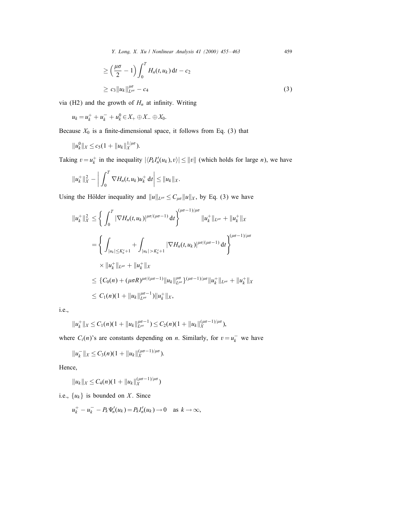Y. Long, X. Xu / Nonlinear Analysis 41 (2000) 455–463 459

$$
\geq \left(\frac{\mu\sigma}{2} - 1\right) \int_0^T H_n(t, u_k) dt - c_2
$$
  

$$
\geq c_3 \|u_k\|_{L^{\mu\sigma}}^{\mu\sigma} - c_4
$$
 (3)

via (H2) and the growth of  $H_n$  at infinity. Writing

$$
u_k = u_k^+ + u_k^- + u_k^0 \in X_+ \oplus X_- \oplus X_0.
$$

Because  $X_0$  is a finite-dimensional space, it follows from Eq. (3) that

$$
||u_k^0||_X \leq c_5(1+||u_k||_X^{1/\mu\sigma}).
$$

Taking  $v = u_k^+$  in the inequality  $|\langle P_k I_n'(u_k), v \rangle| \le ||v||$  (which holds for large *n*), we have

$$
||u_k^+||_X^2 - \bigg|\int_0^T \nabla H_n(t,u_k)u_k^+ dt\bigg| \leq ||u_k||_X.
$$

Using the Hölder inequality and  $||u||_{L^{\mu\sigma}} \leq C_{\mu\sigma} ||u||_X$ , by Eq. (3) we have

$$
||u_k^+||_X^2 \le \left\{ \int_0^T |\nabla H_n(t, u_k)|^{\mu\sigma/(\mu\sigma-1)} dt \right\}^{(\mu\sigma-1)/\mu\sigma} ||u_k^+||_{L^{\mu\sigma}} + ||u_k^+||_X
$$
  
\n
$$
= \left\{ \int_{|u_k| \le K'_n+1} + \int_{|u_k| > K'_n+1} |\nabla H_n(t, u_k)|^{\mu\sigma/(\mu\sigma-1)} dt \right\}^{(\mu\sigma-1)/\mu\sigma}
$$
  
\n
$$
\times ||u_k^+||_{L^{\mu\sigma}} + ||u_k^+||_X
$$
  
\n
$$
\le \{C_0(n) + (\mu\sigma R)^{\mu\sigma/(\mu\sigma-1)} ||u_k||_{L^{\mu\sigma}}^{\mu\sigma} \}^{(\mu\sigma-1)/\mu\sigma} ||u_k^+||_{L^{\mu\sigma}} + ||u_k^+||_X
$$
  
\n
$$
\le C_1(n)(1 + ||u_k||_{L^{\mu\sigma}}^{\mu\sigma-1}) ||u_k^+||_X,
$$

i.e.,

$$
||u_k^+||_X \leq C_1(n)(1+||u_k||_{L^{\mu\sigma}}^{\mu\sigma-1}) \leq C_2(n)(1+||u_k||_X^{(\mu\sigma-1)/\mu\sigma}),
$$

where  $C_i(n)$ 's are constants depending on *n*. Similarly, for  $v = u_k^-$  we have

$$
||u_k^-||_X \leq C_3(n)(1+||u_k||_X^{(\mu\sigma-1)/\mu\sigma}).
$$

Hence,

$$
||u_k||_X \leq C_4(n)(1+||u_k||_X^{(\mu\sigma-1)/\mu\sigma})
$$

i.e.,  $\{u_k\}$  is bounded on X. Since

$$
u_k^+ - u_k^- - P_k \Psi'_n(u_k) = P_k I'_n(u_k) \to 0 \quad \text{as } k \to \infty,
$$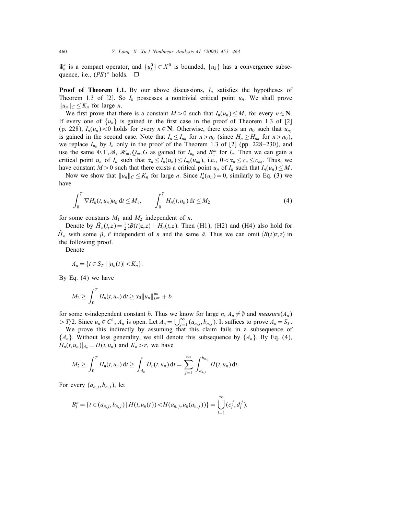$\Psi'_n$  is a compact operator, and  $\{u_k^0\} \subset X^0$  is bounded,  $\{u_k\}$  has a convergence subsequence, i.e.,  $(PS)^*$  holds.  $\square$ 

**Proof of Theorem 1.1.** By our above discussions,  $I_n$  satisfies the hypotheses of Theorem 1.3 of [2]. So  $I_n$  possesses a nontrivial critical point  $u_n$ . We shall prove  $||u_n||_C \leq K_n$  for large *n*.

We first prove that there is a constant  $M > 0$  such that  $I_n(u_n) \leq M$ , for every  $n \in \mathbb{N}$ . If every one of  $\{u_n\}$  is gained in the first case in the proof of Theorem 1.3 of [2] (p. 228),  $I_n(u_n)$ <0 holds for every  $n \in \mathbb{N}$ . Otherwise, there exists an  $n_0$  such that  $u_{n_0}$ is gained in the second case. Note that  $I_n \leq I_{n_0}$  for  $n > n_0$  (since  $H_n \geq H_{n_0}$  for  $n > n_0$ ), we replace  $I_{n_0}$  by  $I_n$  only in the proof of the Theorem 1.3 of [2] (pp. 228–230), and use the same  $\Phi, \Gamma, \mathcal{B}, \mathcal{H}_m, Q_m, G$  as gained for  $I_{n_0}$  and  $B_1^m$  for  $I_n$ . Then we can gain a critical point  $u_n$  of  $I_n$  such that  $\alpha_n \leq I_n(u_n) \leq I_{n_0}(u_{n_0})$ , i.e.,  $0 < \alpha_n \leq c_n \leq c_{n_0}$ . Thus, we have constant  $M>0$  such that there exists a critical point  $u_n$  of  $I_n$  such that  $I_n(u_n) \leq M$ .

Now we show that  $||u_n||_C \le K_n$  for large *n*. Since  $I'_n(u_n) = 0$ , similarly to Eq. (3) we have

$$
\int_0^T \nabla H_n(t, u_n) u_n \, \mathrm{d}t \le M_1, \qquad \int_0^T H_n(t, u_n) \, \mathrm{d}t \le M_2 \tag{4}
$$

for some constants  $M_1$  and  $M_2$  independent of n.

Denote by  $\tilde{H}_n(t,z) = \frac{1}{2} \langle B(t)z, z \rangle + H_n(t,z)$ . Then (H1), (H2) and (H4) also hold for  $\tilde{H}_n$  with some  $\tilde{\mu}$ ,  $\tilde{r}$  independent of n and the same  $\tilde{a}$ . Thus we can omit  $\langle B(t)z, z \rangle$  in the following proof.

Denote

$$
A_n = \{ t \in S_T \mid |u_n(t)| < K_n \}.
$$

By Eq. (4) we have

$$
M_2 \geq \int_0^T H_n(t, u_n) dt \geq \alpha_0 \|u_n\|_{L^{\mu\sigma}}^{\mu\sigma} + b
$$

for some *n*-independent constant *b*. Thus we know for large *n*,  $A_n \neq \emptyset$  and *measure*( $A_n$ ) > T/2. Since  $u_n \in C^1$ ,  $A_n$  is open. Let  $A_n = \bigcup_{j=1}^{\infty} (a_{n,j}, b_{n,j})$ . It suffices to prove  $A_n = S_T$ .

We prove this indirectly by assuming that this claim fails in a subsequence of  ${A_n}$ . Without loss generality, we still denote this subsequence by  ${A_n}$ . By Eq. (4),  $H_n(t, u_n)|_{A_n} = H(t, u_n)$  and  $K_n > r$ , we have

$$
M_2 \geq \int_0^T H_n(t, u_n) dt \geq \int_{A_n} H_n(t, u_n) dt = \sum_{j=1}^{\infty} \int_{a_{n,j}}^{b_{n,j}} H(t, u_n) dt.
$$

For every  $(a_{n,j}, b_{n,j})$ , let

$$
B_j^n = \{t \in (a_{n,j}, b_{n,j}) \mid H(t, u_n(t)) < H(a_{n,j}, u_n(a_{n,j}))\} = \bigcup_{l=1}^\infty (c_l^j, d_l^j).
$$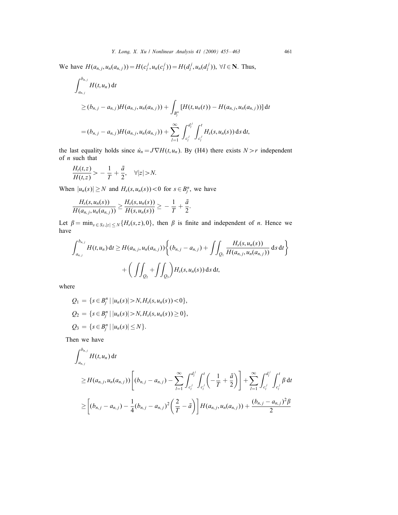We have  $H(a_{n,j}, u_n(a_{n,j})) = H(c_l^j, u_n(c_l^j)) = H(d_l^j, u_n(d_l^j))$ ,  $\forall l \in \mathbb{N}$ . Thus,

$$
\int_{a_{n,j}}^{b_{n,j}} H(t, u_n) dt
$$
  
\n
$$
\geq (b_{n,j} - a_{n,j}) H(a_{n,j}, u_n(a_{n,j})) + \int_{B_j^n} [H(t, u_n(t)) - H(a_{n,j}, u_n(a_{n,j}))] dt
$$
  
\n
$$
= (b_{n,j} - a_{n,j}) H(a_{n,j}, u_n(a_{n,j})) + \sum_{l=1}^{\infty} \int_{c_l^j}^{d_l^j} \int_{c_l^j}^t H_s(s, u_n(s)) ds dt,
$$

the last equality holds since  $\dot{u}_n = J \nabla H(t, u_n)$ . By (H4) there exists  $N > r$  independent of  $n$  such that

$$
\frac{H_t(t,z)}{H(t,z)} > -\frac{1}{T} + \frac{\bar{a}}{2}, \quad \forall |z| > N.
$$

When  $|u_n(s)| \ge N$  and  $H_s(s, u_n(s)) < 0$  for  $s \in B_j^n$ , we have

$$
\frac{H_s(s,u_n(s))}{H(a_{n,j},u_n(a_{n,j}))} \ge \frac{H_s(s,u_n(s))}{H(s,u_n(s))} \ge -\frac{1}{T} + \frac{\bar{a}}{2}.
$$

Let  $\beta = \min_{s \in S_T, |z| \le N} \{H_s(s, z), 0\}$ , then  $\beta$  is finite and independent of *n*. Hence we have

$$
\int_{a_{n,j}}^{b_{n,j}} H(t, u_n) dt \ge H(a_{n,j}, u_n(a_{n,j})) \Big\{ (b_{n,j} - a_{n,j}) + \iint_{Q_1} \frac{H_s(s, u_n(s))}{H(a_{n,j}, u_n(a_{n,j}))} ds dt \Big\} + \bigg( \iint_{Q_2} + \iint_{Q_3} \bigg) H_s(s, u_n(s)) ds dt,
$$

where

$$
Q_1 = \{s \in B_j^n \mid |u_n(s)| > N, H_s(s, u_n(s)) < 0\},
$$
  
\n
$$
Q_2 = \{s \in B_j^n \mid |u_n(s)| > N, H_s(s, u_n(s)) \ge 0\},
$$
  
\n
$$
Q_3 = \{s \in B_j^n \mid |u_n(s)| \le N\}.
$$

Then we have

$$
\int_{a_{n,j}}^{b_{n,j}} H(t, u_n) dt
$$
\n
$$
\geq H(a_{n,j}, u_n(a_{n,j})) \left[ (b_{n,j} - a_{n,j}) - \sum_{l=1}^{\infty} \int_{c_l^j}^{d_l^j} \int_{c_l^j}^t \left( -\frac{1}{T} + \frac{\bar{a}}{2} \right) \right] + \sum_{l=1}^{\infty} \int_{c_l^j}^{d_l^j} \int_{c_l^j}^t \beta dt
$$
\n
$$
\geq \left[ (b_{n,j} - a_{n,j}) - \frac{1}{4} (b_{n,j} - a_{n,j})^2 \left( \frac{2}{T} - \bar{a} \right) \right] H(a_{n,j}, u_n(a_{n,j})) + \frac{(b_{n,j} - a_{n,j})^2 \beta}{2}
$$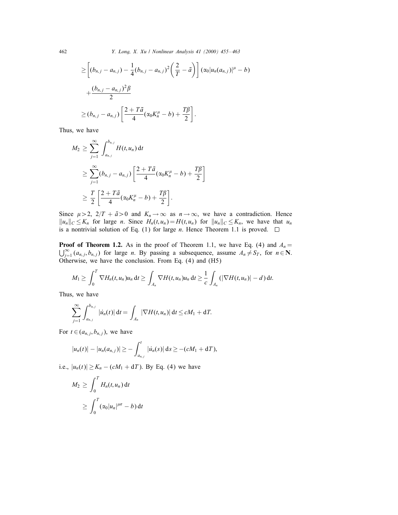462 Y. Long, X. Xu / Nonlinear Analysis 41 (2000) 455 – 463

$$
\geq \left[ (b_{n,j} - a_{n,j}) - \frac{1}{4} (b_{n,j} - a_{n,j})^2 \left( \frac{2}{T} - \bar{a} \right) \right] (\alpha_0 | u_n(a_{n,j}) |^{\mu} - b)
$$
  
+ 
$$
\frac{(b_{n,j} - a_{n,j})^2 \beta}{2}
$$
  

$$
\geq (b_{n,j} - a_{n,j}) \left[ \frac{2 + T\bar{a}}{4} (\alpha_0 K_n^{\mu} - b) + \frac{T\beta}{2} \right].
$$

Thus, we have

$$
M_2 \geq \sum_{j=1}^{\infty} \int_{a_{n,j}}^{b_{n,j}} H(t, u_n) dt
$$
  
\n
$$
\geq \sum_{j=1}^{\infty} (b_{n,j} - a_{n,j}) \left[ \frac{2 + T\bar{a}}{4} (\alpha_0 K_n^{\mu} - b) + \frac{T\beta}{2} \right]
$$
  
\n
$$
\geq \frac{T}{2} \left[ \frac{2 + T\bar{a}}{4} (\alpha_0 K_n^{\mu} - b) + \frac{T\beta}{2} \right].
$$

Since  $\mu > 2$ ,  $2/T + \bar{a} > 0$  and  $K_n \to \infty$  as  $n \to \infty$ , we have a contradiction. Hence  $||u_n||_C \leq K_n$  for large *n*. Since  $H_n(t, u_n) = H(t, u_n)$  for  $||u_n||_C \leq K_n$ , we have that  $u_n$ is a nontrivial solution of Eq. (1) for large *n*. Hence Theorem 1.1 is proved.  $\square$ 

**Proof of Theorem 1.2.** As in the proof of Theorem 1.1, we have Eq. (4) and  $A_n =$  $\bigcup_{j=1}^{\infty} (a_{n,j}, b_{n,j})$  for large *n*. By passing a subsequence, assume  $A_n \neq S_T$ , for  $n \in \mathbb{N}$ . Otherwise, we have the conclusion. From Eq. (4) and (H5)

$$
M_1 \geq \int_0^T \nabla H_n(t, u_n) u_n \, \mathrm{d}t \geq \int_{A_n} \nabla H(t, u_n) u_n \, \mathrm{d}t \geq \frac{1}{c} \int_{A_n} (|\nabla H(t, u_n)| - d) \, \mathrm{d}t.
$$

Thus, we have

$$
\sum_{j=1}^{\infty}\int_{a_{n,j}}^{b_{n,j}}\,|u_n(t)|\,\mathrm{d}t=\int_{A_n}\,|\nabla H(t,u_n)|\,\mathrm{d}t\leq cM_1+\mathrm{d}T.
$$

For  $t \in (a_{n,j}, b_{n,j})$ , we have

$$
|u_n(t)| - |u_n(a_{n,j})| \geq - \int_{a_{n,j}}^t |u_n(s)| ds \geq -(cM_1 + dT),
$$

i.e.,  $|u_n(t)| \ge K_n - (cM_1 + dT)$ . By Eq. (4) we have

$$
M_2 \ge \int_0^T H_n(t, u_n) dt
$$
  
 
$$
\ge \int_0^T (\alpha_0 |u_n|^{\mu\sigma} - b) dt
$$